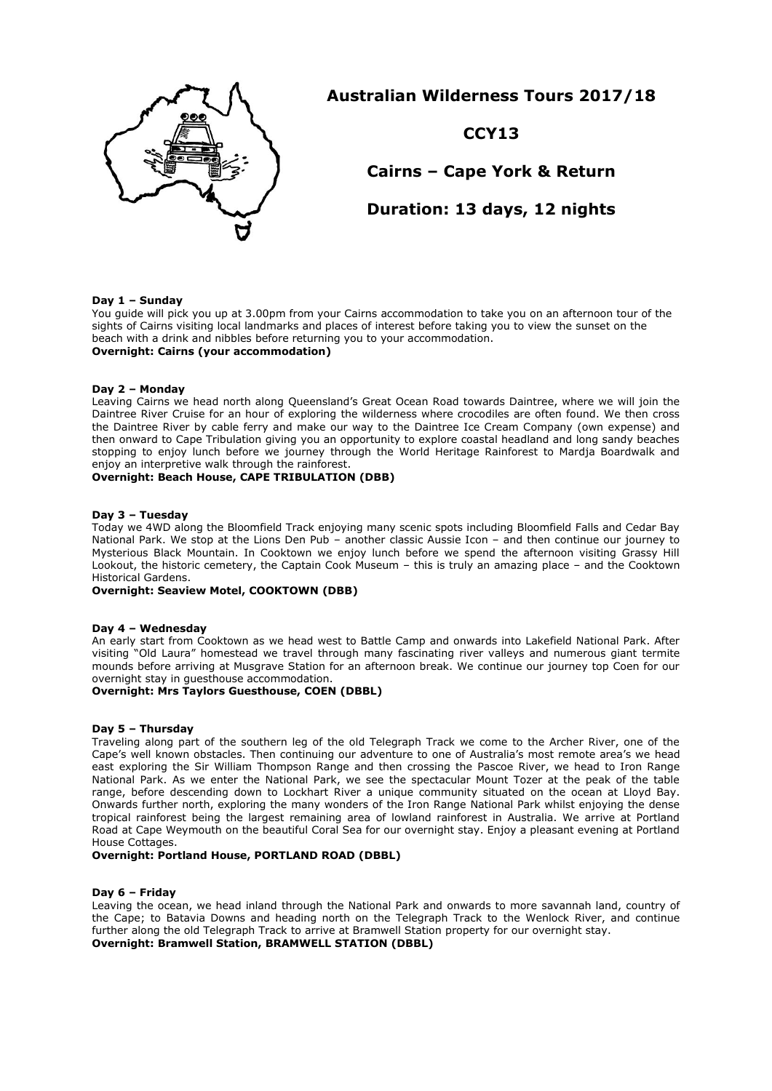

# **Australian Wilderness Tours 2017/18**

# **CCY13**

**Cairns – Cape York & Return**

**Duration: 13 days, 12 nights**

## **Day 1 – Sunday**

You guide will pick you up at 3.00pm from your Cairns accommodation to take you on an afternoon tour of the sights of Cairns visiting local landmarks and places of interest before taking you to view the sunset on the beach with a drink and nibbles before returning you to your accommodation. **Overnight: Cairns (your accommodation)**

## **Day 2 – Monday**

Leaving Cairns we head north along Queensland's Great Ocean Road towards Daintree, where we will join the Daintree River Cruise for an hour of exploring the wilderness where crocodiles are often found. We then cross the Daintree River by cable ferry and make our way to the Daintree Ice Cream Company (own expense) and then onward to Cape Tribulation giving you an opportunity to explore coastal headland and long sandy beaches stopping to enjoy lunch before we journey through the World Heritage Rainforest to Mardja Boardwalk and enjoy an interpretive walk through the rainforest.

## **Overnight: Beach House, CAPE TRIBULATION (DBB)**

### **Day 3 – Tuesday**

Today we 4WD along the Bloomfield Track enjoying many scenic spots including Bloomfield Falls and Cedar Bay National Park. We stop at the Lions Den Pub – another classic Aussie Icon – and then continue our journey to Mysterious Black Mountain. In Cooktown we enjoy lunch before we spend the afternoon visiting Grassy Hill Lookout, the historic cemetery, the Captain Cook Museum – this is truly an amazing place – and the Cooktown Historical Gardens.

### **Overnight: Seaview Motel, COOKTOWN (DBB)**

## **Day 4 – Wednesday**

An early start from Cooktown as we head west to Battle Camp and onwards into Lakefield National Park. After visiting "Old Laura" homestead we travel through many fascinating river valleys and numerous giant termite mounds before arriving at Musgrave Station for an afternoon break. We continue our journey top Coen for our overnight stay in guesthouse accommodation.

## **Overnight: Mrs Taylors Guesthouse, COEN (DBBL)**

### **Day 5 – Thursday**

Traveling along part of the southern leg of the old Telegraph Track we come to the Archer River, one of the Cape's well known obstacles. Then continuing our adventure to one of Australia's most remote area's we head east exploring the Sir William Thompson Range and then crossing the Pascoe River, we head to Iron Range National Park. As we enter the National Park, we see the spectacular Mount Tozer at the peak of the table range, before descending down to Lockhart River a unique community situated on the ocean at Lloyd Bay. Onwards further north, exploring the many wonders of the Iron Range National Park whilst enjoying the dense tropical rainforest being the largest remaining area of lowland rainforest in Australia. We arrive at Portland Road at Cape Weymouth on the beautiful Coral Sea for our overnight stay. Enjoy a pleasant evening at Portland House Cottages.

### **Overnight: Portland House, PORTLAND ROAD (DBBL)**

### **Day 6 – Friday**

Leaving the ocean, we head inland through the National Park and onwards to more savannah land, country of the Cape; to Batavia Downs and heading north on the Telegraph Track to the Wenlock River, and continue further along the old Telegraph Track to arrive at Bramwell Station property for our overnight stay. **Overnight: Bramwell Station, BRAMWELL STATION (DBBL)**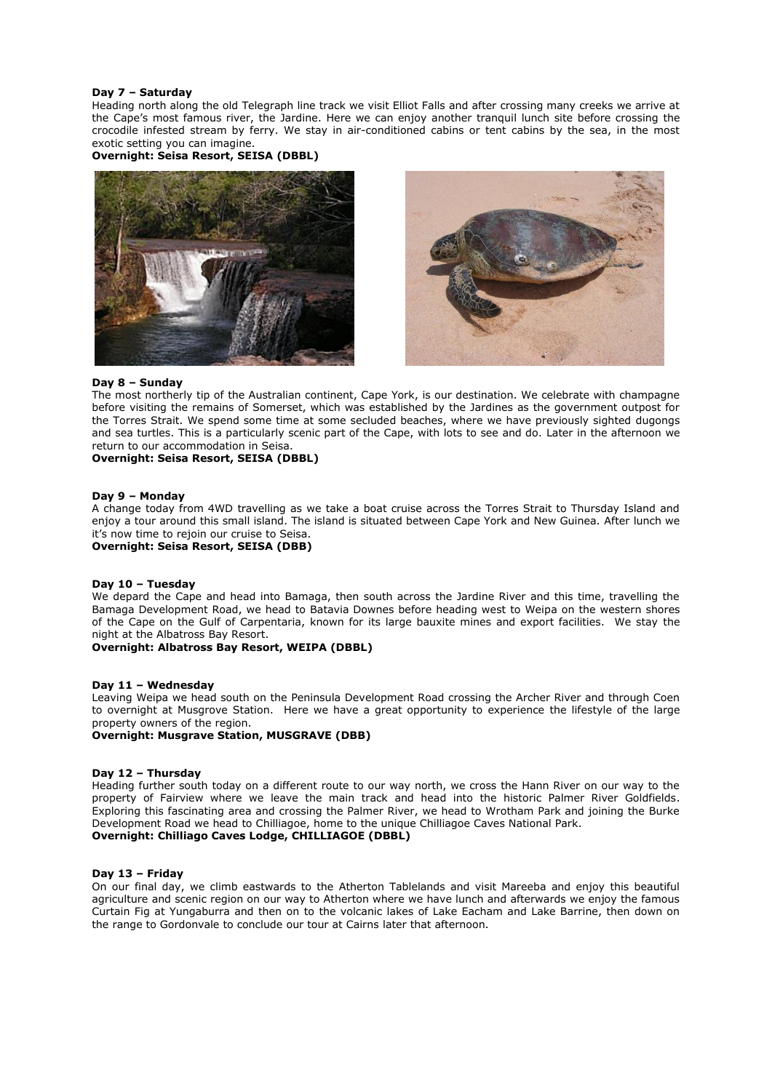## **Day 7 – Saturday**

Heading north along the old Telegraph line track we visit Elliot Falls and after crossing many creeks we arrive at the Cape's most famous river, the Jardine. Here we can enjoy another tranquil lunch site before crossing the crocodile infested stream by ferry. We stay in air-conditioned cabins or tent cabins by the sea, in the most exotic setting you can imagine.

**Overnight: Seisa Resort, SEISA (DBBL)**





## **Day 8 – Sunday**

The most northerly tip of the Australian continent, Cape York, is our destination. We celebrate with champagne before visiting the remains of Somerset, which was established by the Jardines as the government outpost for the Torres Strait. We spend some time at some secluded beaches, where we have previously sighted dugongs and sea turtles. This is a particularly scenic part of the Cape, with lots to see and do. Later in the afternoon we return to our accommodation in Seisa.

## **Overnight: Seisa Resort, SEISA (DBBL)**

### **Day 9 – Monday**

A change today from 4WD travelling as we take a boat cruise across the Torres Strait to Thursday Island and enjoy a tour around this small island. The island is situated between Cape York and New Guinea. After lunch we it's now time to rejoin our cruise to Seisa.

**Overnight: Seisa Resort, SEISA (DBB)**

### **Day 10 – Tuesday**

We depard the Cape and head into Bamaga, then south across the Jardine River and this time, travelling the Bamaga Development Road, we head to Batavia Downes before heading west to Weipa on the western shores of the Cape on the Gulf of Carpentaria, known for its large bauxite mines and export facilities. We stay the night at the Albatross Bay Resort.

**Overnight: Albatross Bay Resort, WEIPA (DBBL)**

### **Day 11 – Wednesday**

Leaving Weipa we head south on the Peninsula Development Road crossing the Archer River and through Coen to overnight at Musgrove Station. Here we have a great opportunity to experience the lifestyle of the large property owners of the region.

## **Overnight: Musgrave Station, MUSGRAVE (DBB)**

### **Day 12 – Thursday**

Heading further south today on a different route to our way north, we cross the Hann River on our way to the property of Fairview where we leave the main track and head into the historic Palmer River Goldfields. Exploring this fascinating area and crossing the Palmer River, we head to Wrotham Park and joining the Burke Development Road we head to Chilliagoe, home to the unique Chilliagoe Caves National Park.

# **Overnight: Chilliago Caves Lodge, CHILLIAGOE (DBBL)**

### **Day 13 – Friday**

On our final day, we climb eastwards to the Atherton Tablelands and visit Mareeba and enjoy this beautiful agriculture and scenic region on our way to Atherton where we have lunch and afterwards we enjoy the famous Curtain Fig at Yungaburra and then on to the volcanic lakes of Lake Eacham and Lake Barrine, then down on the range to Gordonvale to conclude our tour at Cairns later that afternoon.